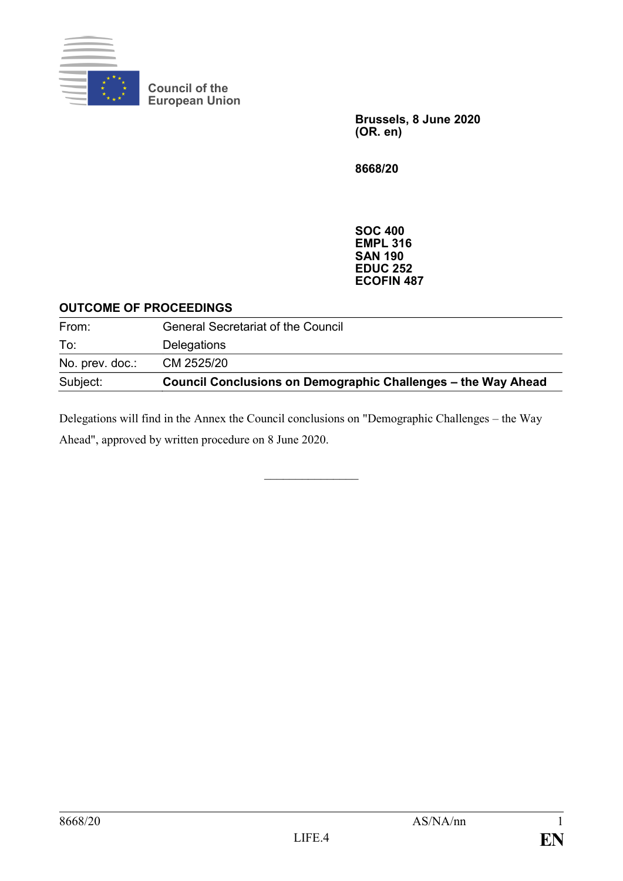

**Council of the European Union**

> **Brussels, 8 June 2020 (OR. en)**

**8668/20**

**SOC 400 EMPL 316 SAN 190 EDUC 252 ECOFIN 487**

#### **OUTCOME OF PROCEEDINGS**

| Subject:        | <b>Council Conclusions on Demographic Challenges – the Way Ahead</b> |
|-----------------|----------------------------------------------------------------------|
| No. prev. doc.: | CM 2525/20                                                           |
| To:             | Delegations                                                          |
| From:           | <b>General Secretariat of the Council</b>                            |

Delegations will find in the Annex the Council conclusions on "Demographic Challenges – the Way Ahead", approved by written procedure on 8 June 2020.

 $\frac{1}{2}$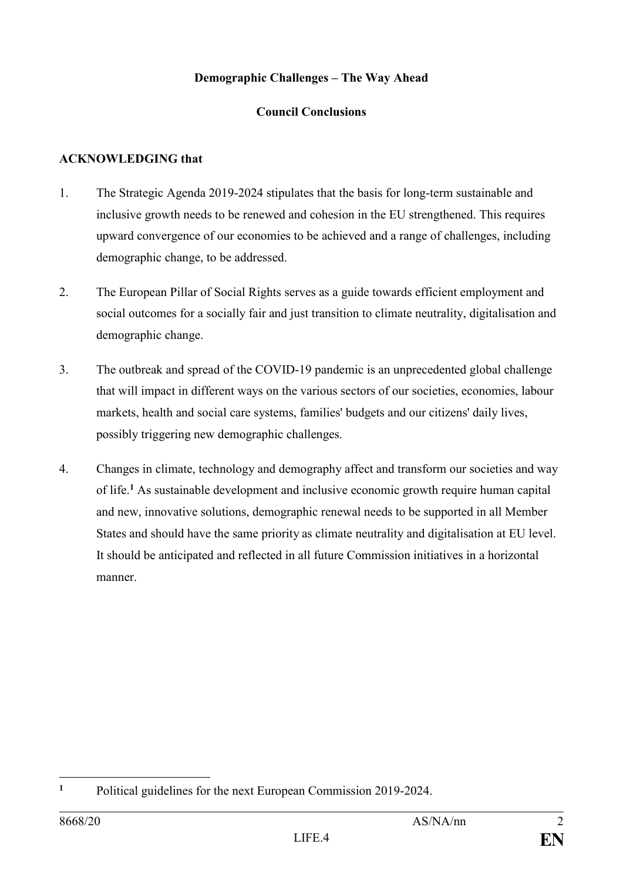# **Demographic Challenges – The Way Ahead**

# **Council Conclusions**

# **ACKNOWLEDGING that**

- 1. The Strategic Agenda 2019-2024 stipulates that the basis for long-term sustainable and inclusive growth needs to be renewed and cohesion in the EU strengthened. This requires upward convergence of our economies to be achieved and a range of challenges, including demographic change, to be addressed.
- 2. The European Pillar of Social Rights serves as a guide towards efficient employment and social outcomes for a socially fair and just transition to climate neutrality, digitalisation and demographic change.
- 3. The outbreak and spread of the COVID-19 pandemic is an unprecedented global challenge that will impact in different ways on the various sectors of our societies, economies, labour markets, health and social care systems, families' budgets and our citizens' daily lives, possibly triggering new demographic challenges.
- 4. Changes in climate, technology and demography affect and transform our societies and way of life.**<sup>1</sup>** As sustainable development and inclusive economic growth require human capital and new, innovative solutions, demographic renewal needs to be supported in all Member States and should have the same priority as climate neutrality and digitalisation at EU level. It should be anticipated and reflected in all future Commission initiatives in a horizontal manner.

 $\mathbf{1}$ **<sup>1</sup>** Political guidelines for the next European Commission 2019-2024.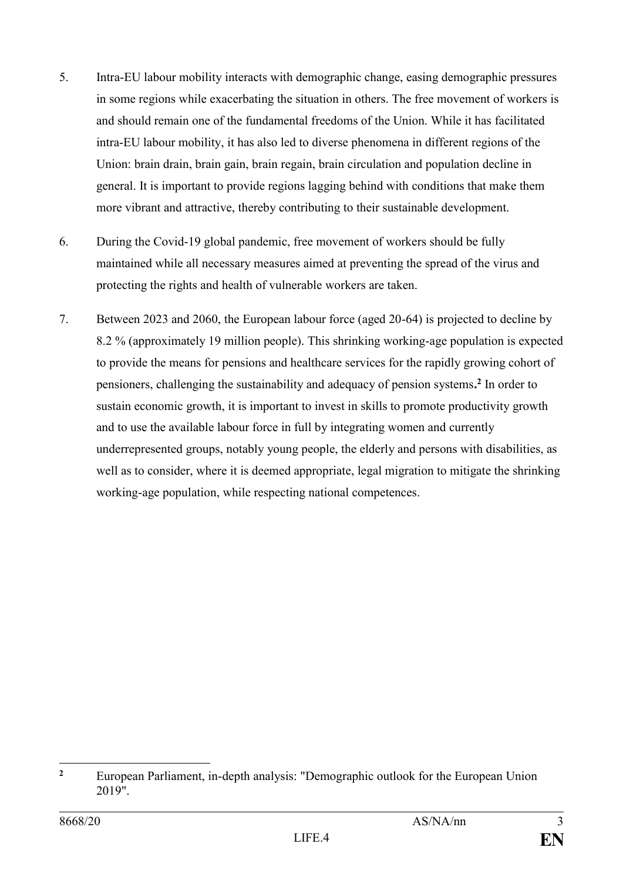- 5. Intra-EU labour mobility interacts with demographic change, easing demographic pressures in some regions while exacerbating the situation in others. The free movement of workers is and should remain one of the fundamental freedoms of the Union. While it has facilitated intra-EU labour mobility, it has also led to diverse phenomena in different regions of the Union: brain drain, brain gain, brain regain, brain circulation and population decline in general. It is important to provide regions lagging behind with conditions that make them more vibrant and attractive, thereby contributing to their sustainable development.
- 6. During the Covid-19 global pandemic, free movement of workers should be fully maintained while all necessary measures aimed at preventing the spread of the virus and protecting the rights and health of vulnerable workers are taken.
- 7. Between 2023 and 2060, the European labour force (aged 20-64) is projected to decline by 8.2 % (approximately 19 million people). This shrinking working-age population is expected to provide the means for pensions and healthcare services for the rapidly growing cohort of pensioners, challenging the sustainability and adequacy of pension systems**. 2** In order to sustain economic growth, it is important to invest in skills to promote productivity growth and to use the available labour force in full by integrating women and currently underrepresented groups, notably young people, the elderly and persons with disabilities, as well as to consider, where it is deemed appropriate, legal migration to mitigate the shrinking working-age population, while respecting national competences.

 $\overline{2}$ **<sup>2</sup>** European Parliament, in-depth analysis: "Demographic outlook for the European Union 2019".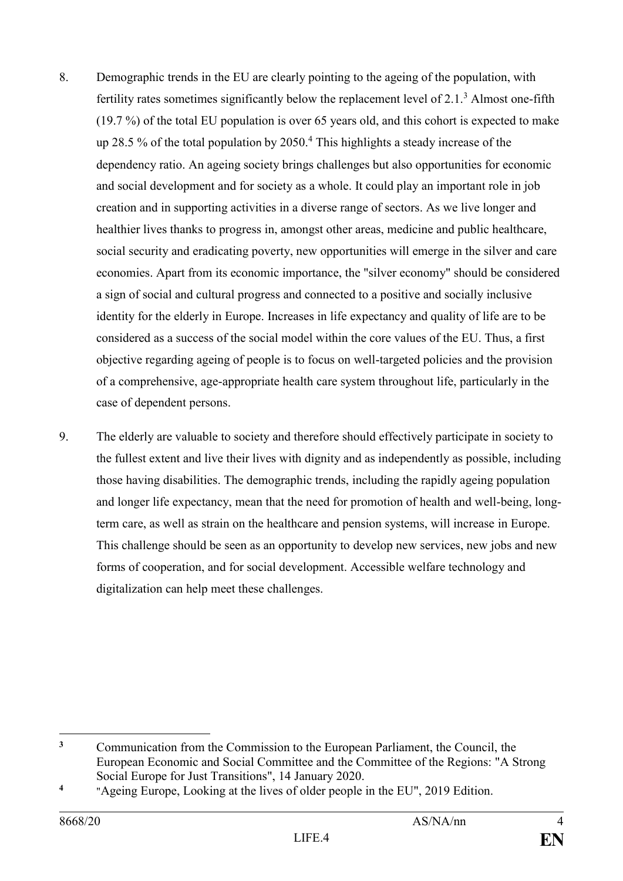- 8. Demographic trends in the EU are clearly pointing to the ageing of the population, with fertility rates sometimes significantly below the replacement level of 2.1.<sup>3</sup> Almost one-fifth (19.7 %) of the total EU population is over 65 years old, and this cohort is expected to make up 28.5 % of the total population by 2050.<sup>4</sup> This highlights a steady increase of the dependency ratio. An ageing society brings challenges but also opportunities for economic and social development and for society as a whole. It could play an important role in job creation and in supporting activities in a diverse range of sectors. As we live longer and healthier lives thanks to progress in, amongst other areas, medicine and public healthcare, social security and eradicating poverty, new opportunities will emerge in the silver and care economies. Apart from its economic importance, the "silver economy" should be considered a sign of social and cultural progress and connected to a positive and socially inclusive identity for the elderly in Europe. Increases in life expectancy and quality of life are to be considered as a success of the social model within the core values of the EU. Thus, a first objective regarding ageing of people is to focus on well-targeted policies and the provision of a comprehensive, age-appropriate health care system throughout life, particularly in the case of dependent persons.
- 9. The elderly are valuable to society and therefore should effectively participate in society to the fullest extent and live their lives with dignity and as independently as possible, including those having disabilities. The demographic trends, including the rapidly ageing population and longer life expectancy, mean that the need for promotion of health and well-being, longterm care, as well as strain on the healthcare and pension systems, will increase in Europe. This challenge should be seen as an opportunity to develop new services, new jobs and new forms of cooperation, and for social development. Accessible welfare technology and digitalization can help meet these challenges.

 $\overline{\mathbf{3}}$ **<sup>3</sup>** Communication from the Commission to the European Parliament, the Council, the European Economic and Social Committee and the Committee of the Regions: "A Strong Social Europe for Just Transitions", 14 January 2020.

**<sup>4</sup>** "Ageing Europe, Looking at the lives of older people in the EU", 2019 Edition.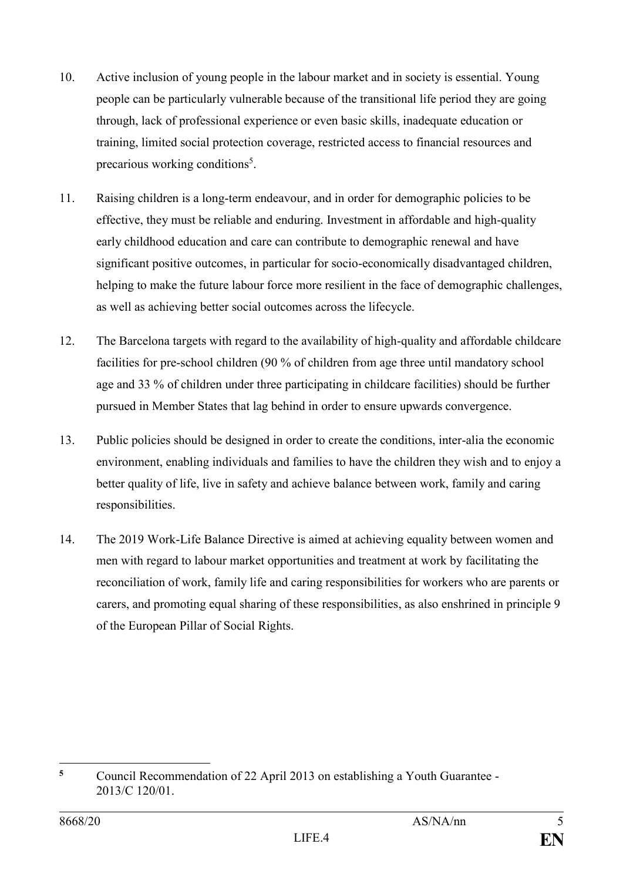- 10. Active inclusion of young people in the labour market and in society is essential. Young people can be particularly vulnerable because of the transitional life period they are going through, lack of professional experience or even basic skills, inadequate education or training, limited social protection coverage, restricted access to financial resources and precarious working conditions<sup>5</sup>.
- 11. Raising children is a long-term endeavour, and in order for demographic policies to be effective, they must be reliable and enduring. Investment in affordable and high-quality early childhood education and care can contribute to demographic renewal and have significant positive outcomes, in particular for socio-economically disadvantaged children, helping to make the future labour force more resilient in the face of demographic challenges, as well as achieving better social outcomes across the lifecycle.
- 12. The Barcelona targets with regard to the availability of high-quality and affordable childcare facilities for pre-school children (90 % of children from age three until mandatory school age and 33 % of children under three participating in childcare facilities) should be further pursued in Member States that lag behind in order to ensure upwards convergence.
- 13. Public policies should be designed in order to create the conditions, inter-alia the economic environment, enabling individuals and families to have the children they wish and to enjoy a better quality of life, live in safety and achieve balance between work, family and caring responsibilities.
- 14. The 2019 Work-Life Balance Directive is aimed at achieving equality between women and men with regard to labour market opportunities and treatment at work by facilitating the reconciliation of work, family life and caring responsibilities for workers who are parents or carers, and promoting equal sharing of these responsibilities, as also enshrined in principle 9 of the European Pillar of Social Rights.

 $\overline{5}$ **<sup>5</sup>** Council Recommendation of 22 April 2013 on establishing a Youth Guarantee - 2013/C 120/01.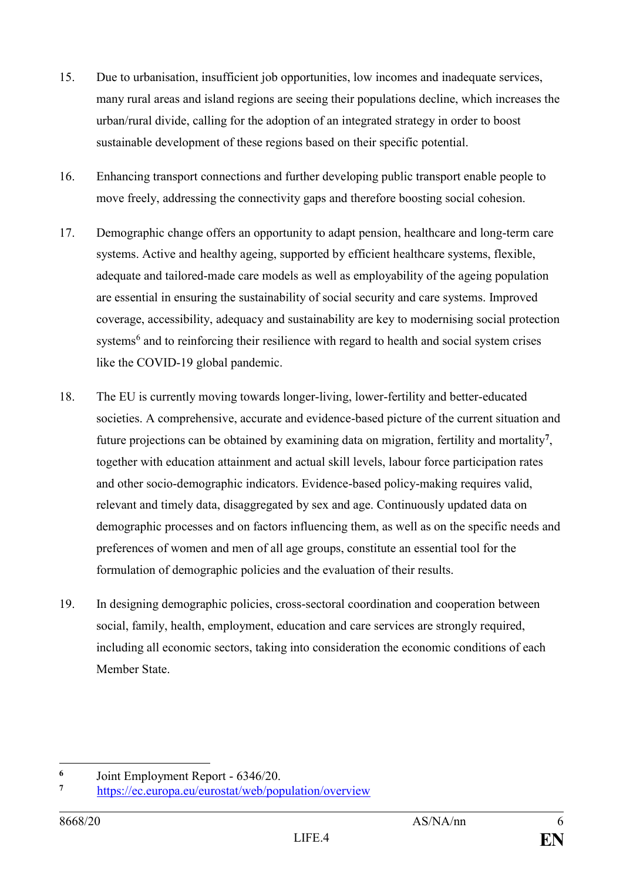- 15. Due to urbanisation, insufficient job opportunities, low incomes and inadequate services, many rural areas and island regions are seeing their populations decline, which increases the urban/rural divide, calling for the adoption of an integrated strategy in order to boost sustainable development of these regions based on their specific potential.
- 16. Enhancing transport connections and further developing public transport enable people to move freely, addressing the connectivity gaps and therefore boosting social cohesion.
- 17. Demographic change offers an opportunity to adapt pension, healthcare and long-term care systems. Active and healthy ageing, supported by efficient healthcare systems, flexible, adequate and tailored-made care models as well as employability of the ageing population are essential in ensuring the sustainability of social security and care systems. Improved coverage, accessibility, adequacy and sustainability are key to modernising social protection systems<sup>6</sup> and to reinforcing their resilience with regard to health and social system crises like the COVID-19 global pandemic.
- 18. The EU is currently moving towards longer-living, lower-fertility and better-educated societies. A comprehensive, accurate and evidence-based picture of the current situation and future projections can be obtained by examining data on migration, fertility and mortality**<sup>7</sup>** , together with education attainment and actual skill levels, labour force participation rates and other socio-demographic indicators. Evidence-based policy-making requires valid, relevant and timely data, disaggregated by sex and age. Continuously updated data on demographic processes and on factors influencing them, as well as on the specific needs and preferences of women and men of all age groups, constitute an essential tool for the formulation of demographic policies and the evaluation of their results.
- 19. In designing demographic policies, cross-sectoral coordination and cooperation between social, family, health, employment, education and care services are strongly required, including all economic sectors, taking into consideration the economic conditions of each Member State.

1

**<sup>6</sup>** Joint Employment Report - 6346/20.

**<sup>7</sup>** <https://ec.europa.eu/eurostat/web/population/overview>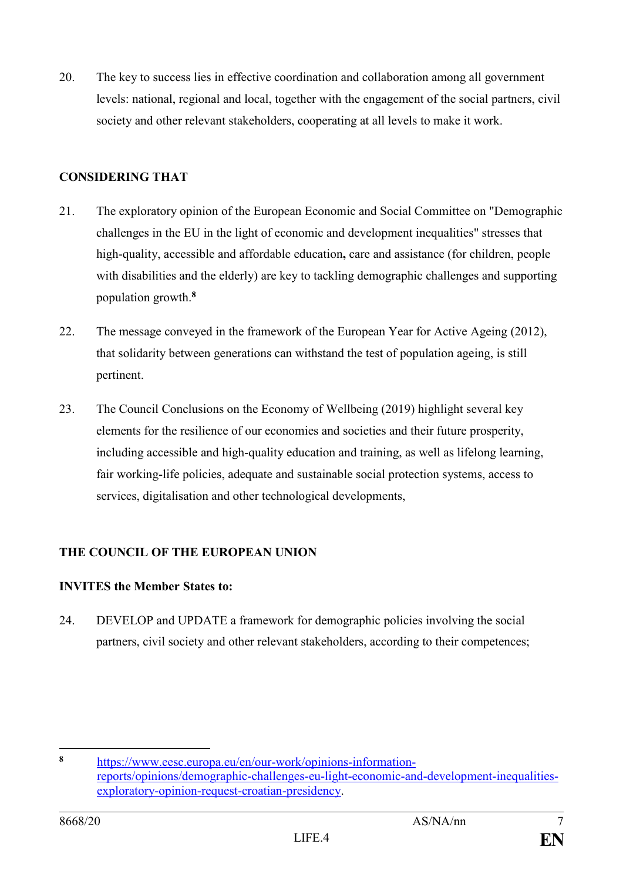20. The key to success lies in effective coordination and collaboration among all government levels: national, regional and local, together with the engagement of the social partners, civil society and other relevant stakeholders, cooperating at all levels to make it work.

# **CONSIDERING THAT**

- 21. The exploratory opinion of the European Economic and Social Committee on "Demographic challenges in the EU in the light of economic and development inequalities" stresses that high-quality, accessible and affordable education**,** care and assistance (for children, people with disabilities and the elderly) are key to tackling demographic challenges and supporting population growth.**<sup>8</sup>**
- 22. The message conveyed in the framework of the European Year for Active Ageing (2012), that solidarity between generations can withstand the test of population ageing, is still pertinent.
- 23. The Council Conclusions on the Economy of Wellbeing (2019) highlight several key elements for the resilience of our economies and societies and their future prosperity, including accessible and high-quality education and training, as well as lifelong learning, fair working-life policies, adequate and sustainable social protection systems, access to services, digitalisation and other technological developments,

# **THE COUNCIL OF THE EUROPEAN UNION**

#### **INVITES the Member States to:**

24. DEVELOP and UPDATE a framework for demographic policies involving the social partners, civil society and other relevant stakeholders, according to their competences;

<sup>&</sup>lt;u>.</u> **<sup>8</sup>** [https://www.eesc.europa.eu/en/our-work/opinions-information](https://www.eesc.europa.eu/en/our-work/opinions-information-reports/opinions/demographic-challenges-eu-light-economic-and-development-inequalities-exploratory-opinion-request-croatian-presidency)[reports/opinions/demographic-challenges-eu-light-economic-and-development-inequalities](https://www.eesc.europa.eu/en/our-work/opinions-information-reports/opinions/demographic-challenges-eu-light-economic-and-development-inequalities-exploratory-opinion-request-croatian-presidency)[exploratory-opinion-request-croatian-presidency.](https://www.eesc.europa.eu/en/our-work/opinions-information-reports/opinions/demographic-challenges-eu-light-economic-and-development-inequalities-exploratory-opinion-request-croatian-presidency)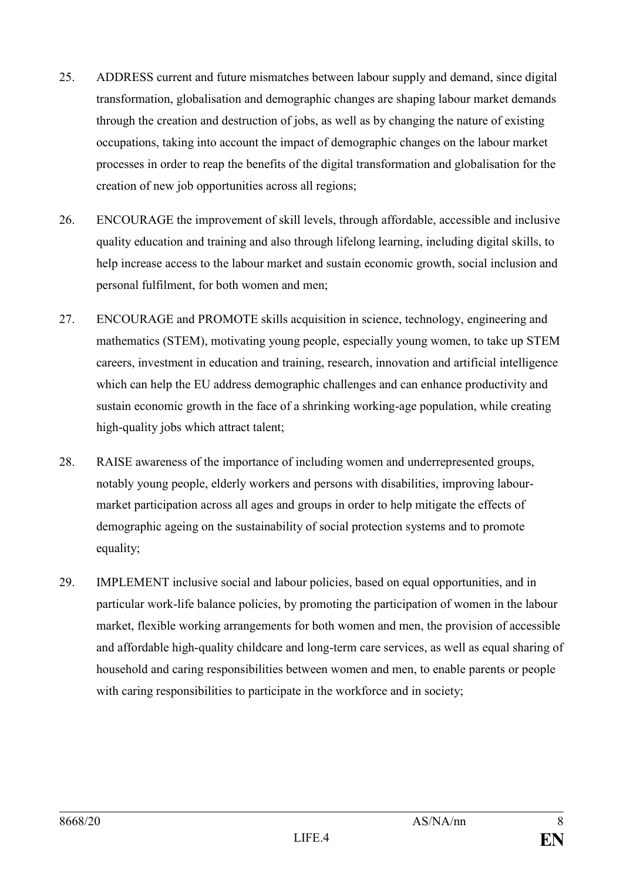- 25. ADDRESS current and future mismatches between labour supply and demand, since digital transformation, globalisation and demographic changes are shaping labour market demands through the creation and destruction of jobs, as well as by changing the nature of existing occupations, taking into account the impact of demographic changes on the labour market processes in order to reap the benefits of the digital transformation and globalisation for the creation of new job opportunities across all regions;
- 26. ENCOURAGE the improvement of skill levels, through affordable, accessible and inclusive quality education and training and also through lifelong learning, including digital skills, to help increase access to the labour market and sustain economic growth, social inclusion and personal fulfilment, for both women and men;
- 27. ENCOURAGE and PROMOTE skills acquisition in science, technology, engineering and mathematics (STEM), motivating young people, especially young women, to take up STEM careers, investment in education and training, research, innovation and artificial intelligence which can help the EU address demographic challenges and can enhance productivity and sustain economic growth in the face of a shrinking working-age population, while creating high-quality jobs which attract talent;
- 28. RAISE awareness of the importance of including women and underrepresented groups, notably young people, elderly workers and persons with disabilities, improving labourmarket participation across all ages and groups in order to help mitigate the effects of demographic ageing on the sustainability of social protection systems and to promote equality;
- 29. IMPLEMENT inclusive social and labour policies, based on equal opportunities, and in particular work-life balance policies, by promoting the participation of women in the labour market, flexible working arrangements for both women and men, the provision of accessible and affordable high-quality childcare and long-term care services, as well as equal sharing of household and caring responsibilities between women and men, to enable parents or people with caring responsibilities to participate in the workforce and in society;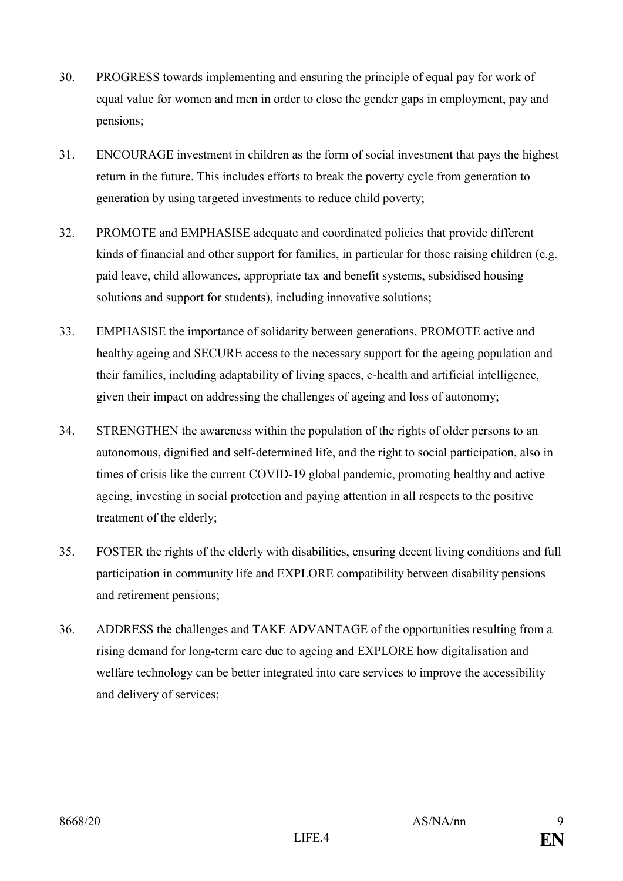- 30. PROGRESS towards implementing and ensuring the principle of equal pay for work of equal value for women and men in order to close the gender gaps in employment, pay and pensions;
- 31. ENCOURAGE investment in children as the form of social investment that pays the highest return in the future. This includes efforts to break the poverty cycle from generation to generation by using targeted investments to reduce child poverty;
- 32. PROMOTE and EMPHASISE adequate and coordinated policies that provide different kinds of financial and other support for families, in particular for those raising children (e.g. paid leave, child allowances, appropriate tax and benefit systems, subsidised housing solutions and support for students), including innovative solutions;
- 33. EMPHASISE the importance of solidarity between generations, PROMOTE active and healthy ageing and SECURE access to the necessary support for the ageing population and their families, including adaptability of living spaces, e-health and artificial intelligence, given their impact on addressing the challenges of ageing and loss of autonomy;
- 34. STRENGTHEN the awareness within the population of the rights of older persons to an autonomous, dignified and self-determined life, and the right to social participation, also in times of crisis like the current COVID-19 global pandemic, promoting healthy and active ageing, investing in social protection and paying attention in all respects to the positive treatment of the elderly;
- 35. FOSTER the rights of the elderly with disabilities, ensuring decent living conditions and full participation in community life and EXPLORE compatibility between disability pensions and retirement pensions;
- 36. ADDRESS the challenges and TAKE ADVANTAGE of the opportunities resulting from a rising demand for long-term care due to ageing and EXPLORE how digitalisation and welfare technology can be better integrated into care services to improve the accessibility and delivery of services;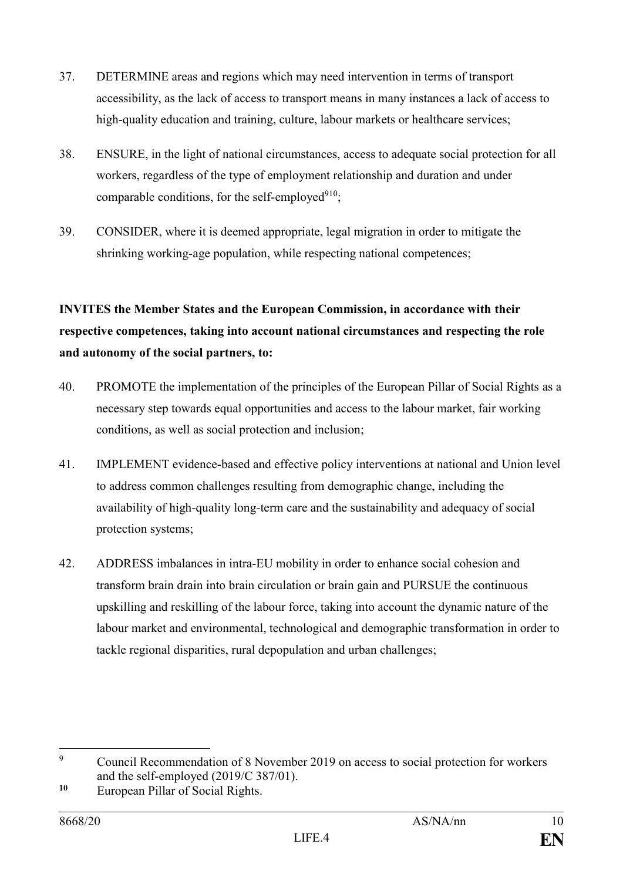- 37. DETERMINE areas and regions which may need intervention in terms of transport accessibility, as the lack of access to transport means in many instances a lack of access to high-quality education and training, culture, labour markets or healthcare services;
- 38. ENSURE, in the light of national circumstances, access to adequate social protection for all workers, regardless of the type of employment relationship and duration and under comparable conditions, for the self-employed $910$ ;
- 39. CONSIDER, where it is deemed appropriate, legal migration in order to mitigate the shrinking working-age population, while respecting national competences;

# **INVITES the Member States and the European Commission, in accordance with their respective competences, taking into account national circumstances and respecting the role and autonomy of the social partners, to:**

- 40. PROMOTE the implementation of the principles of the European Pillar of Social Rights as a necessary step towards equal opportunities and access to the labour market, fair working conditions, as well as social protection and inclusion;
- 41. IMPLEMENT evidence-based and effective policy interventions at national and Union level to address common challenges resulting from demographic change, including the availability of high-quality long-term care and the sustainability and adequacy of social protection systems;
- 42. ADDRESS imbalances in intra-EU mobility in order to enhance social cohesion and transform brain drain into brain circulation or brain gain and PURSUE the continuous upskilling and reskilling of the labour force, taking into account the dynamic nature of the labour market and environmental, technological and demographic transformation in order to tackle regional disparities, rural depopulation and urban challenges;

 $\overline{Q}$ <sup>9</sup> Council Recommendation of 8 November 2019 on access to social protection for workers and the self-employed (2019/C 387/01).

**<sup>10</sup>** European Pillar of Social Rights.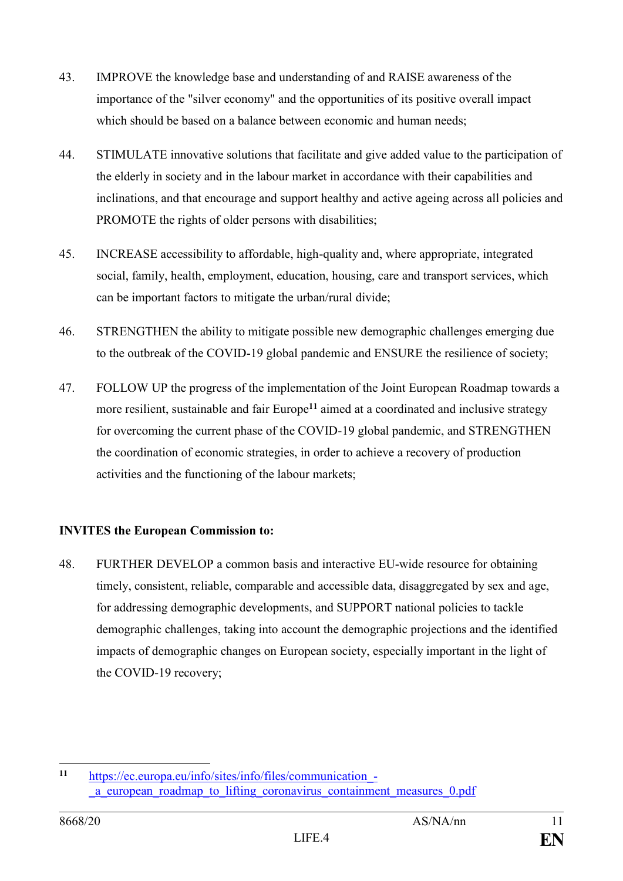- 43. IMPROVE the knowledge base and understanding of and RAISE awareness of the importance of the "silver economy" and the opportunities of its positive overall impact which should be based on a balance between economic and human needs:
- 44. STIMULATE innovative solutions that facilitate and give added value to the participation of the elderly in society and in the labour market in accordance with their capabilities and inclinations, and that encourage and support healthy and active ageing across all policies and PROMOTE the rights of older persons with disabilities;
- 45. INCREASE accessibility to affordable, high-quality and, where appropriate, integrated social, family, health, employment, education, housing, care and transport services, which can be important factors to mitigate the urban/rural divide;
- 46. STRENGTHEN the ability to mitigate possible new demographic challenges emerging due to the outbreak of the COVID-19 global pandemic and ENSURE the resilience of society;
- 47. FOLLOW UP the progress of the implementation of the Joint European Roadmap towards a more resilient, sustainable and fair Europe**<sup>11</sup>** aimed at a coordinated and inclusive strategy for overcoming the current phase of the COVID-19 global pandemic, and STRENGTHEN the coordination of economic strategies, in order to achieve a recovery of production activities and the functioning of the labour markets;

# **INVITES the European Commission to:**

48. FURTHER DEVELOP a common basis and interactive EU-wide resource for obtaining timely, consistent, reliable, comparable and accessible data, disaggregated by sex and age, for addressing demographic developments, and SUPPORT national policies to tackle demographic challenges, taking into account the demographic projections and the identified impacts of demographic changes on European society, especially important in the light of the COVID-19 recovery;

 $11$ **<sup>11</sup>** [https://ec.europa.eu/info/sites/info/files/communication\\_-](https://ec.europa.eu/info/sites/info/files/communication_-_a_european_roadmap_to_lifting_coronavirus_containment_measures_0.pdf) [\\_a\\_european\\_roadmap\\_to\\_lifting\\_coronavirus\\_containment\\_measures\\_0.pdf](https://ec.europa.eu/info/sites/info/files/communication_-_a_european_roadmap_to_lifting_coronavirus_containment_measures_0.pdf)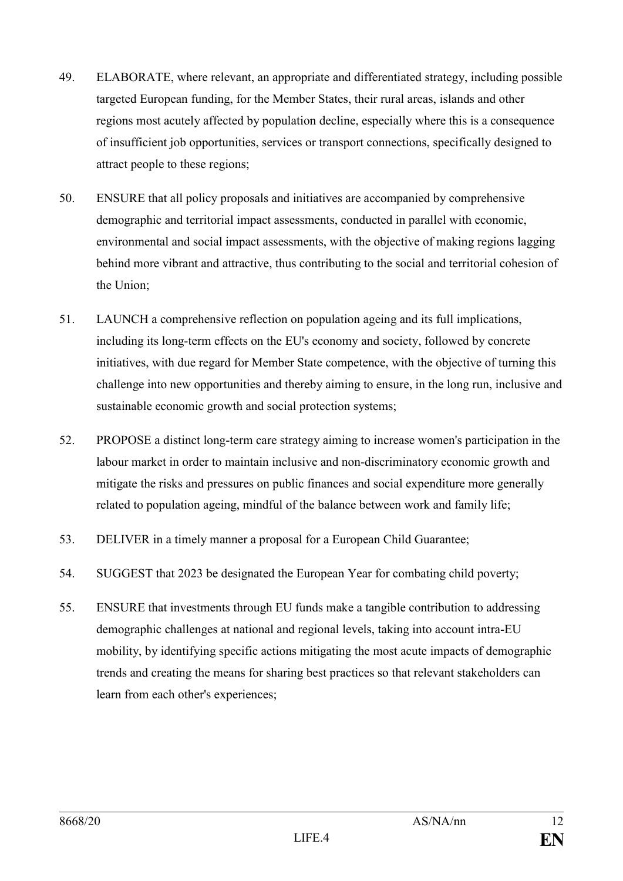- 49. ELABORATE, where relevant, an appropriate and differentiated strategy, including possible targeted European funding, for the Member States, their rural areas, islands and other regions most acutely affected by population decline, especially where this is a consequence of insufficient job opportunities, services or transport connections, specifically designed to attract people to these regions;
- 50. ENSURE that all policy proposals and initiatives are accompanied by comprehensive demographic and territorial impact assessments, conducted in parallel with economic, environmental and social impact assessments, with the objective of making regions lagging behind more vibrant and attractive, thus contributing to the social and territorial cohesion of the Union;
- 51. LAUNCH a comprehensive reflection on population ageing and its full implications, including its long-term effects on the EU's economy and society, followed by concrete initiatives, with due regard for Member State competence, with the objective of turning this challenge into new opportunities and thereby aiming to ensure, in the long run, inclusive and sustainable economic growth and social protection systems;
- 52. PROPOSE a distinct long-term care strategy aiming to increase women's participation in the labour market in order to maintain inclusive and non-discriminatory economic growth and mitigate the risks and pressures on public finances and social expenditure more generally related to population ageing, mindful of the balance between work and family life;
- 53. DELIVER in a timely manner a proposal for a European Child Guarantee;
- 54. SUGGEST that 2023 be designated the European Year for combating child poverty;
- 55. ENSURE that investments through EU funds make a tangible contribution to addressing demographic challenges at national and regional levels, taking into account intra-EU mobility, by identifying specific actions mitigating the most acute impacts of demographic trends and creating the means for sharing best practices so that relevant stakeholders can learn from each other's experiences;